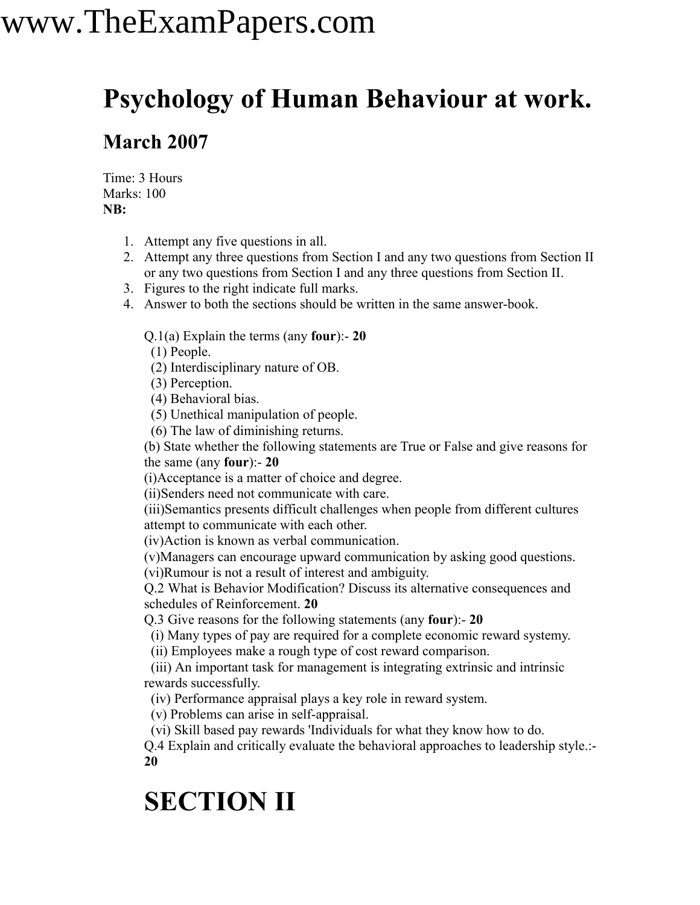# www.TheExamPapers.com

### **Psychology of Human Behaviour at work.**

#### **March 2007**

Time: 3 Hours Marks: 100 **NB:**

- 1. Attempt any five questions in all.
- 2. Attempt any three questions from Section I and any two questions from Section II or any two questions from Section I and any three questions from Section II.
- 3. Figures to the right indicate full marks.
- 4. Answer to both the sections should be written in the same answer-book.

Q.1(a) Explain the terms (any **four**):- **20**

(1) People.

(2) Interdisciplinary nature of OB.

(3) Perception.

(4) Behavioral bias.

(5) Unethical manipulation of people.

(6) The law of diminishing returns.

(b) State whether the following statements are True or False and give reasons for the same (any **four**):- **20**

(i)Acceptance is a matter of choice and degree.

(ii)Senders need not communicate with care.

(iii)Semantics presents difficult challenges when people from different cultures attempt to communicate with each other.

(iv)Action is known as verbal communication.

(v)Managers can encourage upward communication by asking good questions. (vi)Rumour is not a result of interest and ambiguity.

Q.2 What is Behavior Modification? Discuss its alternative consequences and schedules of Reinforcement. **20**

Q.3 Give reasons for the following statements (any **four**):- **20**

(i) Many types of pay are required for a complete economic reward systemy.

(ii) Employees make a rough type of cost reward comparison.

(iii) An important task for management is integrating extrinsic and intrinsic rewards successfully.

(iv) Performance appraisal plays a key role in reward system.

(v) Problems can arise in self-appraisal.

(vi) Skill based pay rewards 'Individuals for what they know how to do.

Q.4 Explain and critically evaluate the behavioral approaches to leadership style.:- **20**

### **SECTION II**